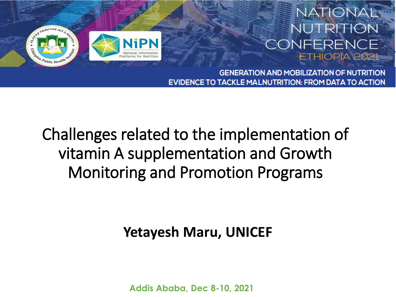

#### **NATIONAL** NUTRITION CONFERENCE ETHIOPIA 202

**GENERATION AND MOBILIZATION OF NUTRITION** EVIDENCE TO TACKLE MALNUTRITION: FROM DATA TO ACTION

### Challenges related to the implementation of vitamin A supplementation and Growth Monitoring and Promotion Programs

#### **Yetayesh Maru, UNICEF**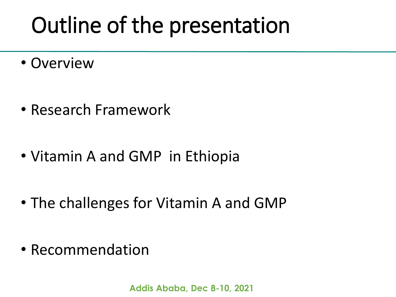# Outline of the presentation

• Overview

- Research Framework
- Vitamin A and GMP in Ethiopia
- The challenges for Vitamin A and GMP
- Recommendation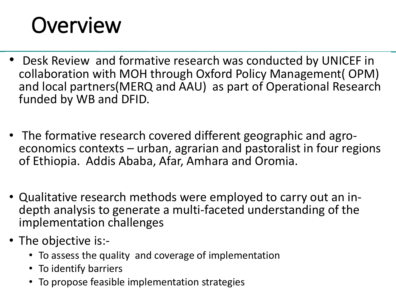# **Overview**

- Desk Review and formative research was conducted by UNICEF in collaboration with MOH through Oxford Policy Management( OPM) and local partners(MERQ and AAU) as part of Operational Research funded by WB and DFID.
- The formative research covered different geographic and agroeconomics contexts – urban, agrarian and pastoralist in four regions of Ethiopia. Addis Ababa, Afar, Amhara and Oromia.
- Qualitative research methods were employed to carry out an indepth analysis to generate a multi-faceted understanding of the implementation challenges
- The objective is:-
	- To assess the quality and coverage of implementation
	- To identify barriers
	- **Addition** Strategies • To propose feasible implementation strategies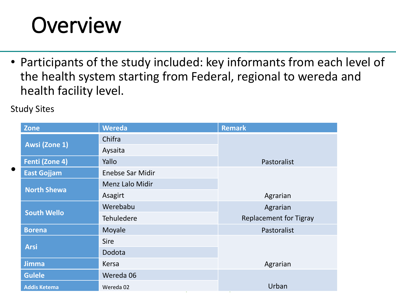# **Overview**

• Participants of the study included: key informants from each level of the health system starting from Federal, regional to wereda and health facility level.

Study Sites

•

| <b>Zone</b>         | <b>Wereda</b>                          | <b>Remark</b>                 |
|---------------------|----------------------------------------|-------------------------------|
| Awsi (Zone 1)       | Chifra                                 |                               |
|                     | Aysaita                                |                               |
| Fenti (Zone 4)      | Yallo                                  | Pastoralist                   |
| <b>East Gojjam</b>  | <b>Enebse Sar Midir</b>                |                               |
| <b>North Shewa</b>  | <b>Menz Lalo Midir</b>                 |                               |
|                     | Asagirt                                | Agrarian                      |
| <b>South Wello</b>  | Werebabu                               | Agrarian                      |
|                     | <b>Tehuledere</b>                      | <b>Replacement for Tigray</b> |
| <b>Borena</b>       | Moyale                                 | Pastoralist                   |
| <b>Arsi</b>         | <b>Sire</b>                            |                               |
|                     | Dodota                                 |                               |
| <b>Jimma</b>        | Kersa                                  | Agrarian                      |
| <b>Gulele</b>       | Wereda 06                              |                               |
| <b>Addis Ketema</b> | Wereda <sub>02</sub><br>$\overline{a}$ | Urban                         |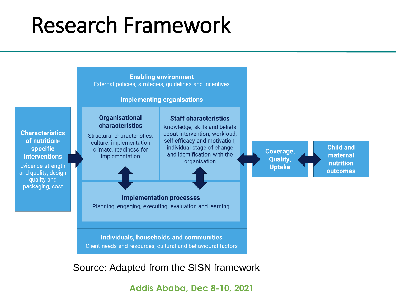# Research Framework



Source: Adapted from the SISN framework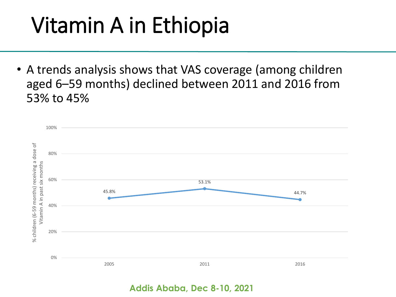# Vitamin A in Ethiopia

• A trends analysis shows that VAS coverage (among children aged 6–59 months) declined between 2011 and 2016 from 53% to 45%

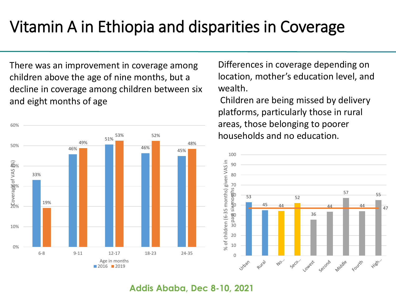### Vitamin A in Ethiopia and disparities in Coverage

There was an improvement in coverage among children above the age of nine months, but a decline in coverage among children between six and eight months of age



Differences in coverage depending on location, mother's education level, and wealth.

Children are being missed by delivery platforms, particularly those in rural areas, those belonging to poorer households and no education.

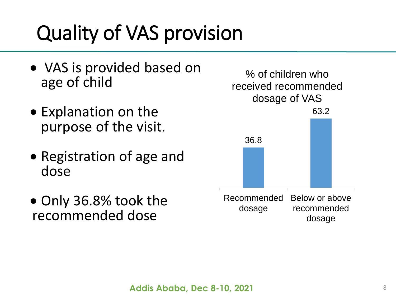# Quality of VAS provision

- VAS is provided based on age of child
- Explanation on the purpose of the visit.
- Registration of age and dose
- Only 36.8% took the recommended dose

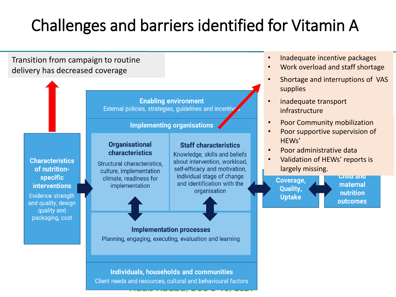### Challenges and barriers identified for Vitamin A

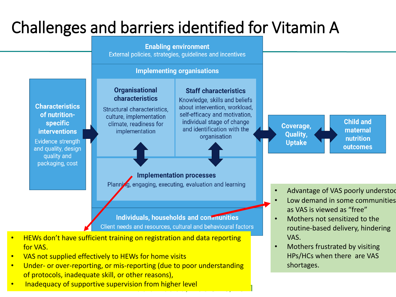### Challenges and barriers identified for Vitamin A



HPs/HCs when there are VAS

shortages.

- VAS not supplied effectively to HEWs for home visits
- Under- or over-reporting, or mis-reporting (due to poor understanding of protocols, inadequate skill, or other reasons),
- Inadequacy of supportive supervision from higher level **Fig. 1000**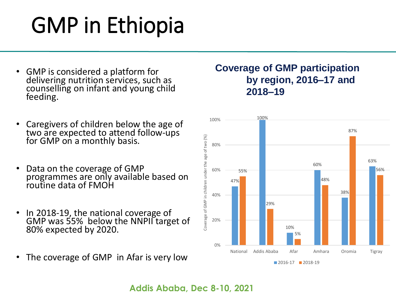# GMP in Ethiopia

- GMP is considered a platform for delivering nutrition services, such as counselling on infant and young child feeding.
- Caregivers of children below the age of two are expected to attend follow-ups for GMP on a monthly basis.
- Data on the coverage of GMP programmes are only available based on routine data of FMOH
- In 2018-19, the national coverage of GMP was 55% below the NNPII target of 80% expected by 2020.
- The coverage of GMP in Afar is very low

#### **Coverage of GMP participation by region, 2016–17 and 2018–19**

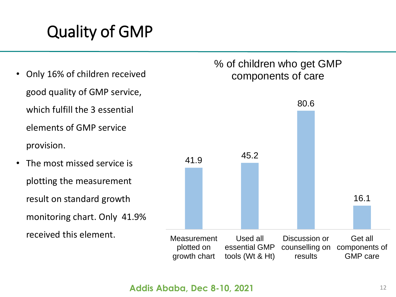### Quality of GMP

- Only 16% of children received good quality of GMP service, which fulfill the 3 essential elements of GMP service provision.
- The most missed service is plotting the measurement result on standard growth monitoring chart. Only 41.9% received this element.

#### % of children who get GMP components of care

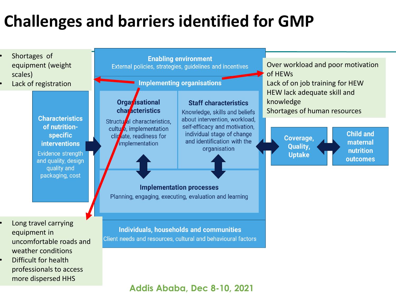### **Challenges and barriers identified for GMP**

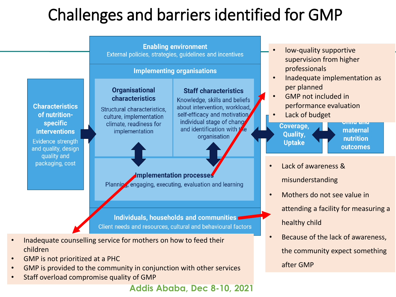### Challenges and barriers identified for GMP



- Inadequate counselling service for mothers on how to feed their children
- GMP is not prioritized at a PHC
- GMP is provided to the community in conjunction with other services
- Staff overload compromise quality of GMP

**Addis Ababa, Dec 8-10, 2021**

the community expect something

after GMP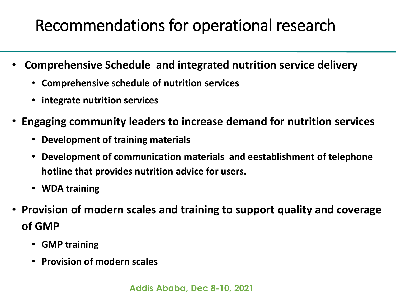#### Recommendations for operational research

- **Comprehensive Schedule and integrated nutrition service delivery**
	- **Comprehensive schedule of nutrition services**
	- **integrate nutrition services**
- **Engaging community leaders to increase demand for nutrition services**
	- **Development of training materials**
	- **Development of communication materials and eestablishment of telephone hotline that provides nutrition advice for users.**
	- **WDA training**
- **Provision of modern scales and training to support quality and coverage of GMP**
	- **GMP training**
	- **Provision of modern scales**